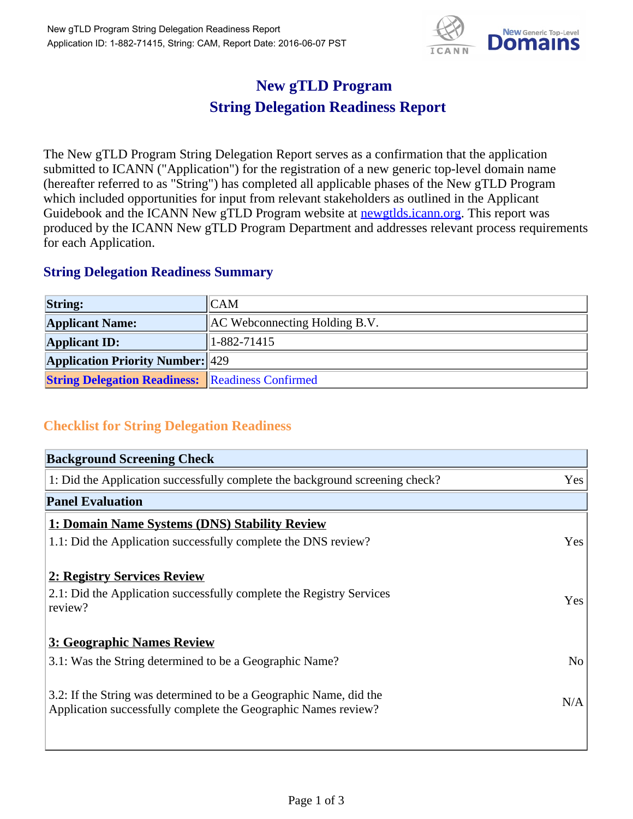

## **New gTLD Program String Delegation Readiness Report**

The New gTLD Program String Delegation Report serves as a confirmation that the application submitted to ICANN ("Application") for the registration of a new generic top-level domain name (hereafter referred to as "String") has completed all applicable phases of the New gTLD Program which included opportunities for input from relevant stakeholders as outlined in the Applicant Guidebook and the ICANN New gTLD Program website at newgtlds.icann.org. This report was produced by the ICANN New gTLD Program Department and addresses relevant process requirements for each Application.

## **String Delegation Readiness Summary**

| <b>String:</b>                                          | ICAM                                 |
|---------------------------------------------------------|--------------------------------------|
| <b>Applicant Name:</b>                                  | <b>AC</b> Webconnecting Holding B.V. |
| <b>Applicant ID:</b>                                    | $1 - 882 - 71415$                    |
| <b>Application Priority Number: 429</b>                 |                                      |
| <b>String Delegation Readiness: Readiness Confirmed</b> |                                      |

## **Checklist for String Delegation Readiness**

| <b>Background Screening Check</b>                                               |                |
|---------------------------------------------------------------------------------|----------------|
| 1: Did the Application successfully complete the background screening check?    | Yes            |
| <b>Panel Evaluation</b>                                                         |                |
| 1: Domain Name Systems (DNS) Stability Review                                   |                |
| 1.1: Did the Application successfully complete the DNS review?                  | Yes            |
| 2: Registry Services Review                                                     |                |
|                                                                                 |                |
| 2.1: Did the Application successfully complete the Registry Services<br>review? | <b>Yes</b>     |
|                                                                                 |                |
| 3: Geographic Names Review                                                      |                |
| 3.1: Was the String determined to be a Geographic Name?                         | N <sub>0</sub> |
| 3.2: If the String was determined to be a Geographic Name, did the              |                |
| Application successfully complete the Geographic Names review?                  | N/A            |
|                                                                                 |                |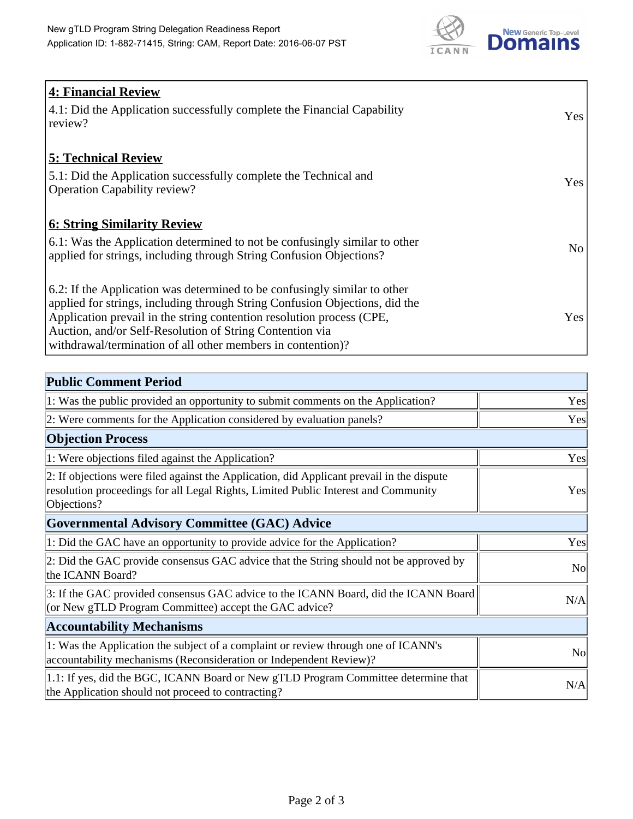

| <b>4: Financial Review</b><br>4.1: Did the Application successfully complete the Financial Capability<br>review?                                                                                                                                                                                                                                             | Yes            |
|--------------------------------------------------------------------------------------------------------------------------------------------------------------------------------------------------------------------------------------------------------------------------------------------------------------------------------------------------------------|----------------|
| <b>5: Technical Review</b><br>5.1: Did the Application successfully complete the Technical and<br><b>Operation Capability review?</b>                                                                                                                                                                                                                        | Yes            |
| <u><b>6: String Similarity Review</b></u><br>6.1: Was the Application determined to not be confusingly similar to other<br>applied for strings, including through String Confusion Objections?                                                                                                                                                               | N <sub>o</sub> |
| 6.2: If the Application was determined to be confusingly similar to other<br>applied for strings, including through String Confusion Objections, did the<br>Application prevail in the string contention resolution process (CPE,<br>Auction, and/or Self-Resolution of String Contention via<br>withdrawal/termination of all other members in contention)? | Yes            |

| <b>Public Comment Period</b>                                                                                                                                                                   |                |
|------------------------------------------------------------------------------------------------------------------------------------------------------------------------------------------------|----------------|
| 1: Was the public provided an opportunity to submit comments on the Application?                                                                                                               | Yes            |
| 2: Were comments for the Application considered by evaluation panels?                                                                                                                          | Yes            |
| <b>Objection Process</b>                                                                                                                                                                       |                |
| 1: Were objections filed against the Application?                                                                                                                                              | Yes            |
| 2: If objections were filed against the Application, did Applicant prevail in the dispute<br>resolution proceedings for all Legal Rights, Limited Public Interest and Community<br>Objections? | Yes            |
| <b>Governmental Advisory Committee (GAC) Advice</b>                                                                                                                                            |                |
| 1: Did the GAC have an opportunity to provide advice for the Application?                                                                                                                      | Yes            |
| 2: Did the GAC provide consensus GAC advice that the String should not be approved by<br>the ICANN Board?                                                                                      | N <sub>o</sub> |
| 3: If the GAC provided consensus GAC advice to the ICANN Board, did the ICANN Board<br>(or New gTLD Program Committee) accept the GAC advice?                                                  | N/A            |
| <b>Accountability Mechanisms</b>                                                                                                                                                               |                |
| 1: Was the Application the subject of a complaint or review through one of ICANN's<br>accountability mechanisms (Reconsideration or Independent Review)?                                       | <b>No</b>      |
| 1.1: If yes, did the BGC, ICANN Board or New gTLD Program Committee determine that<br>the Application should not proceed to contracting?                                                       | N/A            |